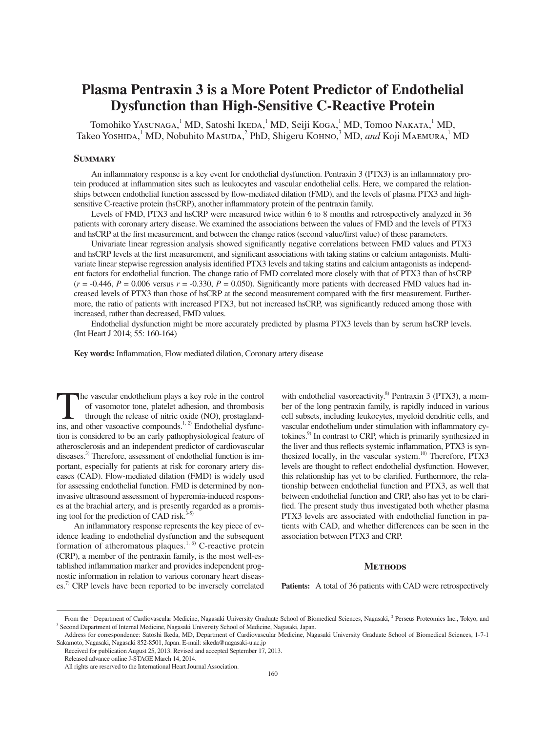# **Plasma Pentraxin 3 is a More Potent Predictor of Endothelial Dysfunction than High-Sensitive C-Reactive Protein**

Tomohiko Yasunaga, <sup>1</sup> MD, Satoshi Ikeda, <sup>1</sup> MD, Seiji Koga, <sup>1</sup> MD, Tomoo Nakata, <sup>1</sup> MD, Takeo Yoshida,<sup>1</sup> MD, Nobuhito Masuda,<sup>2</sup> PhD, Shigeru Kohno,<sup>3</sup> MD, and Koji Maemura,<sup>1</sup> MD

## **Summary**

An inflammatory response is a key event for endothelial dysfunction. Pentraxin 3 (PTX3) is an inflammatory protein produced at inflammation sites such as leukocytes and vascular endothelial cells. Here, we compared the relationships between endothelial function assessed by flow-mediated dilation (FMD), and the levels of plasma PTX3 and highsensitive C-reactive protein (hsCRP), another inflammatory protein of the pentraxin family.

Levels of FMD, PTX3 and hsCRP were measured twice within 6 to 8 months and retrospectively analyzed in 36 patients with coronary artery disease. We examined the associations between the values of FMD and the levels of PTX3 and hsCRP at the first measurement, and between the change ratios (second value/first value) of these parameters.

Univariate linear regression analysis showed significantly negative correlations between FMD values and PTX3 and hsCRP levels at the first measurement, and significant associations with taking statins or calcium antagonists. Multivariate linear stepwise regression analysis identified PTX3 levels and taking statins and calcium antagonists as independent factors for endothelial function. The change ratio of FMD correlated more closely with that of PTX3 than of hsCRP  $(r = -0.446, P = 0.006$  versus  $r = -0.330, P = 0.050$ . Significantly more patients with decreased FMD values had increased levels of PTX3 than those of hsCRP at the second measurement compared with the first measurement. Furthermore, the ratio of patients with increased PTX3, but not increased hsCRP, was significantly reduced among those with increased, rather than decreased, FMD values.

Endothelial dysfunction might be more accurately predicted by plasma PTX3 levels than by serum hsCRP levels. (Int Heart J 2014; 55: 160-164)

**Key words:** Inflammation, Flow mediated dilation, Coronary artery disease

The vascular endothelium plays a key role in the control of vasomotor tone, platelet adhesion, and thrombosis through the release of nitric oxide (NO), prostagland-<br>ins and other vasoactive compounds  $\frac{1, 2}$ ) Endotheli of vasomotor tone, platelet adhesion, and thrombosis ins, and other vasoactive compounds.<sup>1, 2)</sup> Endothelial dysfunction is considered to be an early pathophysiological feature of atherosclerosis and an independent predictor of cardiovascular diseases.<sup>3)</sup> Therefore, assessment of endothelial function is important, especially for patients at risk for coronary artery diseases (CAD). Flow-mediated dilation (FMD) is widely used for assessing endothelial function. FMD is determined by noninvasive ultrasound assessment of hyperemia-induced responses at the brachial artery, and is presently regarded as a promising tool for the prediction of CAD risk.<sup>3-5</sup>

An inflammatory response represents the key piece of evidence leading to endothelial dysfunction and the subsequent formation of atheromatous plaques.<sup>1, 6)</sup> C-reactive protein (CRP), a member of the pentraxin family, is the most well-established inflammation marker and provides independent prognostic information in relation to various coronary heart diseases.<sup>7)</sup> CRP levels have been reported to be inversely correlated

with endothelial vasoreactivity. $8$  Pentraxin 3 (PTX3), a member of the long pentraxin family, is rapidly induced in various cell subsets, including leukocytes, myeloid dendritic cells, and vascular endothelium under stimulation with inflammatory cytokines.<sup>9)</sup> In contrast to CRP, which is primarily synthesized in the liver and thus reflects systemic inflammation, PTX3 is synthesized locally, in the vascular system.<sup>10)</sup> Therefore,  $PTX3$ levels are thought to reflect endothelial dysfunction. However, this relationship has yet to be clarified. Furthermore, the relationship between endothelial function and PTX3, as well that between endothelial function and CRP, also has yet to be clarified. The present study thus investigated both whether plasma PTX3 levels are associated with endothelial function in patients with CAD, and whether differences can be seen in the association between PTX3 and CRP.

### **METHODS**

**Patients:** A total of 36 patients with CAD were retrospectively

From the <sup>1</sup> Department of Cardiovascular Medicine, Nagasaki University Graduate School of Biomedical Sciences, Nagasaki, <sup>2</sup> Perseus Proteomics Inc., Tokyo, and <sup>3</sup> Second Department of Internal Medicine, Nagasaki Univers Second Department of Internal Medicine, Nagasaki University School of Medicine, Nagasaki, Japan.

Address for correspondence: Satoshi Ikeda, MD, Department of Cardiovascular Medicine, Nagasaki University Graduate School of Biomedical Sciences, 1-7-1 Sakamoto, Nagasaki, Nagasaki 852-8501, Japan. E-mail: sikeda@nagasaki-u.ac.jp

Received for publication August 25, 2013. Revised and accepted September 17, 2013. Released advance online J-STAGE March 14, 2014.

All rights are reserved to the International Heart Journal Association.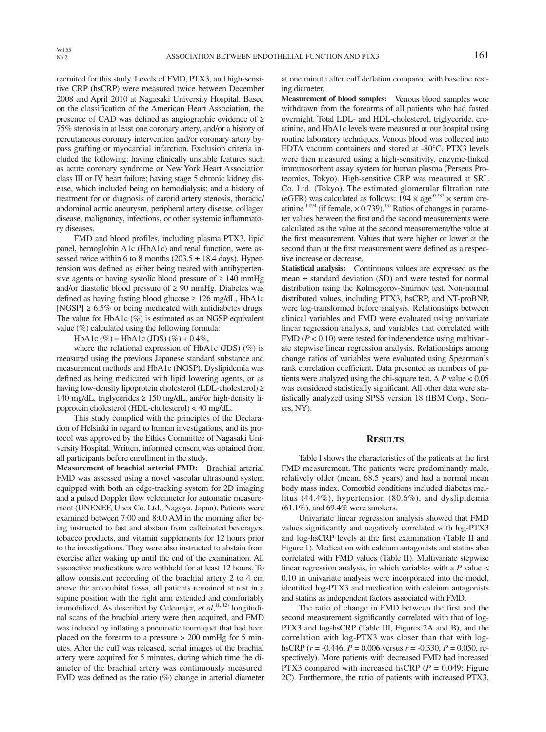recruited for this study. Levels of FMD, PTX3, and high-sensitive CRP (hsCRP) were measured twice between December 2008 and April 2010 at Nagasaki University Hospital. Based on the classification of the American Heart Association, the presence of CAD was defined as angiographic evidence of  $\geq$ 75% stenosis in at least one coronary artery, and/or a history of percutaneous coronary intervention and/or coronary artery bypass grafting or myocardial infarction. Exclusion criteria included the following: having clinically unstable features such as acute coronary syndrome or New York Heart Association class III or IV heart failure; having stage 5 chronic kidney disease, which included being on hemodialysis; and a history of treatment for or diagnosis of carotid artery stenosis, thoracic/ abdominal aortic aneurysm, peripheral artery disease, collagen disease, malignancy, infections, or other systemic inflammatory diseases.

FMD and blood profiles, including plasma PTX3, lipid panel, hemoglobin A1c (HbA1c) and renal function, were assessed twice within 6 to 8 months  $(203.5 \pm 18.4$  days). Hypertension was defined as either being treated with antihypertensive agents or having systolic blood pressure of  $\geq 140$  mmHg and/or diastolic blood pressure of  $\geq 90$  mmHg. Diabetes was defined as having fasting blood glucose  $\geq 126$  mg/dL, HbA1c [NGSP]  $\geq 6.5\%$  or being medicated with antidiabetes drugs. The value for HbA1c (%) is estimated as an NGSP equivalent value (%) calculated using the following formula:

HbA1c (%) = HbA1c (JDS) (%) + 0.4%,

where the relational expression of HbA1c (JDS)  $(\%)$  is measured using the previous Japanese standard substance and measurement methods and HbA1c (NGSP). Dyslipidemia was defined as being medicated with lipid lowering agents, or as having low-density lipoprotein cholesterol (LDL-cholesterol) ≥ 140 mg/dL, triglycerides  $\geq$  150 mg/dL, and/or high-density lipoprotein cholesterol (HDL-cholesterol) < 40 mg/dL.

This study complied with the principles of the Declaration of Helsinki in regard to human investigations, and its protocol was approved by the Ethics Committee of Nagasaki University Hospital. Written, informed consent was obtained from all participants before enrollment in the study.

**Measurement of brachial arterial FMD:** Brachial arterial FMD was assessed using a novel vascular ultrasound system equipped with both an edge-tracking system for 2D imaging and a pulsed Doppler flow velocimeter for automatic measurement (UNEXEF, Unex Co. Ltd., Nagoya, Japan). Patients were examined between 7:00 and 8:00 AM in the morning after being instructed to fast and abstain from caffeinated beverages, tobacco products, and vitamin supplements for 12 hours prior to the investigations. They were also instructed to abstain from exercise after waking up until the end of the examination. All vasoactive medications were withheld for at least 12 hours. To allow consistent recording of the brachial artery 2 to 4 cm above the antecubital fossa, all patients remained at rest in a supine position with the right arm extended and comfortably immobilized. As described by Celemajer, et al,<sup>11, 12)</sup> longitudinal scans of the brachial artery were then acquired, and FMD was induced by inflating a pneumatic tourniquet that had been placed on the forearm to a pressure > 200 mmHg for 5 minutes. After the cuff was released, serial images of the brachial artery were acquired for 5 minutes, during which time the diameter of the brachial artery was continuously measured. FMD was defined as the ratio  $(\%)$  change in arterial diameter

at one minute after cuff deflation compared with baseline resting diameter.

**Measurement of blood samples:** Venous blood samples were withdrawn from the forearms of all patients who had fasted overnight. Total LDL- and HDL-cholesterol, triglyceride, creatinine, and HbA1c levels were measured at our hospital using routine laboratory techniques. Venous blood was collected into EDTA vacuum containers and stored at -80°C. PTX3 levels were then measured using a high-sensitivity, enzyme-linked immunosorbent assay system for human plasma (Perseus Proteomics, Tokyo). High-sensitive CRP was measured at SRL Co. Ltd. (Tokyo). The estimated glomerular filtration rate (eGFR) was calculated as follows:  $194 \times age^{-0.287} \times serum$  creatinine<sup>-1.094</sup> (if female,  $\times$  0.739).<sup>13)</sup> Ratios of changes in parameter values between the first and the second measurements were calculated as the value at the second measurement/the value at the first measurement. Values that were higher or lower at the second than at the first measurement were defined as a respective increase or decrease.

**Statistical analysis:** Continuous values are expressed as the mean ± standard deviation (SD) and were tested for normal distribution using the Kolmogorov-Smirnov test. Non-normal distributed values, including PTX3, hsCRP, and NT-proBNP, were log-transformed before analysis. Relationships between clinical variables and FMD were evaluated using univariate linear regression analysis, and variables that correlated with  $FMD (P < 0.10)$  were tested for independence using multivariate stepwise linear regression analysis. Relationships among change ratios of variables were evaluated using Spearman's rank correlation coefficient. Data presented as numbers of patients were analyzed using the chi-square test. A *P* value < 0.05 was considered statistically significant. All other data were statistically analyzed using SPSS version 18 (IBM Corp., Somers, NY).

#### **Results**

Table I shows the characteristics of the patients at the first FMD measurement. The patients were predominantly male, relatively older (mean, 68.5 years) and had a normal mean body mass index. Comorbid conditions included diabetes mellitus (44.4%), hypertension (80.6%), and dyslipidemia (61.1%), and 69.4% were smokers.

Univariate linear regression analysis showed that FMD values significantly and negatively correlated with log-PTX3 and log-hsCRP levels at the first examination (Table II and Figure 1). Medication with calcium antagonists and statins also correlated with FMD values (Table II). Multivariate stepwise linear regression analysis, in which variables with a *P* value < 0.10 in univariate analysis were incorporated into the model, identified log-PTX3 and medication with calcium antagonists and statins as independent factors associated with FMD.

The ratio of change in FMD between the first and the second measurement significantly correlated with that of log-PTX3 and log-hsCRP (Table III, Figures 2A and B), and the correlation with log-PTX3 was closer than that with loghsCRP (*r* = -0.446, *P* = 0.006 versus *r* = -0.330, *P* = 0.050, respectively). More patients with decreased FMD had increased PTX3 compared with increased hsCRP ( $P = 0.049$ ; Figure 2C). Furthermore, the ratio of patients with increased PTX3,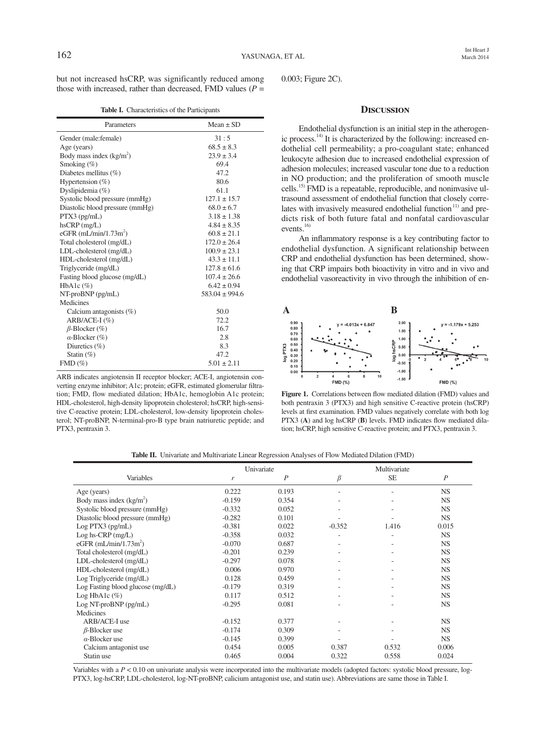but not increased hsCRP, was significantly reduced among those with increased, rather than decreased, FMD values  $(P =$ 

|  | Table I. Characteristics of the Participants |  |  |
|--|----------------------------------------------|--|--|
|--|----------------------------------------------|--|--|

| Parameters                      | $Mean \pm SD$      |  |  |
|---------------------------------|--------------------|--|--|
| Gender (male: female)           | 31:5               |  |  |
| Age (years)                     | $68.5 \pm 8.3$     |  |  |
| Body mass index $(kg/m2)$       | $23.9 \pm 3.4$     |  |  |
| Smoking $(\%)$                  | 69.4               |  |  |
| Diabetes mellitus $(\%)$        | 47.2               |  |  |
| Hypertension $(\%)$             | 80.6               |  |  |
| Dyslipidemia (%)                | 61.1               |  |  |
| Systolic blood pressure (mmHg)  | $127.1 \pm 15.7$   |  |  |
| Diastolic blood pressure (mmHg) | $68.0 \pm 6.7$     |  |  |
| $PTX3$ (pg/mL)                  | $3.18 \pm 1.38$    |  |  |
| $h$ s $CRP$ (mg/L)              | $4.84 \pm 8.35$    |  |  |
| eGFR $(mL/min/1.73m^2)$         | $60.8 \pm 21.1$    |  |  |
| Total cholesterol (mg/dL)       | $172.0 \pm 26.4$   |  |  |
| LDL-cholesterol (mg/dL)         | $100.9 \pm 23.1$   |  |  |
| HDL-cholesterol (mg/dL)         | $43.3 \pm 11.1$    |  |  |
| Triglyceride (mg/dL)            | $127.8 \pm 61.6$   |  |  |
| Fasting blood glucose (mg/dL)   | $107.4 \pm 26.6$   |  |  |
| HbA1c $(\%)$                    | $6.42 \pm 0.94$    |  |  |
| NT-proBNP (pg/mL)               | $583.04 \pm 994.6$ |  |  |
| Medicines                       |                    |  |  |
| Calcium antagonists $(\%)$      | 50.0               |  |  |
| $ARB/ACE-I$ (%)                 | 72.2               |  |  |
| $\beta$ -Blocker (%)            | 16.7               |  |  |
| $\alpha$ -Blocker (%)           | 2.8                |  |  |
| Diuretics $(\%)$                | 8.3                |  |  |
| Statin $(\%)$                   | 47.2               |  |  |
| $FMD(\%)$                       | $5.01 \pm 2.11$    |  |  |

ARB indicates angiotensin II receptor blocker; ACE-I, angiotensin converting enzyme inhibitor; A1c; protein; eGFR, estimated glomerular filtration; FMD, flow mediated dilation; HbA1c, hemoglobin A1c protein; HDL-cholesterol, high-density lipoprotein cholesterol; hsCRP, high-sensitive C-reactive protein; LDL-cholesterol, low-density lipoprotein cholesterol; NT-proBNP, N-terminal-pro-B type brain natriuretic peptide; and PTX3, pentraxin 3.

0.003; Figure 2C).

### **Discussion**

Endothelial dysfunction is an initial step in the atherogenic process.<sup>14)</sup> It is characterized by the following: increased endothelial cell permeability; a pro-coagulant state; enhanced leukocyte adhesion due to increased endothelial expression of adhesion molecules; increased vascular tone due to a reduction in NO production; and the proliferation of smooth muscle cells.15) FMD is a repeatable, reproducible, and noninvasive ultrasound assessment of endothelial function that closely correlates with invasively measured endothelial function $11$ ) and predicts risk of both future fatal and nonfatal cardiovascular events.<sup>16)</sup>

An inflammatory response is a key contributing factor to endothelial dysfunction. A significant relationship between CRP and endothelial dysfunction has been determined, showing that CRP impairs both bioactivity in vitro and in vivo and endothelial vasoreactivity in vivo through the inhibition of en-



Figure 1. Correlations between flow mediated dilation (FMD) values and both pentraxin 3 (PTX3) and high sensitive C-reactive protein (hsCRP) levels at first examination. FMD values negatively correlate with both log PTX3 (A) and log hsCRP (B) levels. FMD indicates flow mediated dilation; hsCRP, high sensitive C-reactive protein; and PTX3, pentraxin 3.

|  | <b>Table II.</b> Univariate and Multivariate Linear Regression Analyses of Flow Mediated Dilation (FMD) |  |  |  |  |  |  |  |  |
|--|---------------------------------------------------------------------------------------------------------|--|--|--|--|--|--|--|--|
|--|---------------------------------------------------------------------------------------------------------|--|--|--|--|--|--|--|--|

|                                   | Univariate |                  |          | Multivariate |                  |  |
|-----------------------------------|------------|------------------|----------|--------------|------------------|--|
| Variables                         | r          | $\boldsymbol{P}$ | β        | <b>SE</b>    | $\boldsymbol{P}$ |  |
| Age (years)                       | 0.222      | 0.193            |          |              | NS.              |  |
| Body mass index $(kg/m2)$         | $-0.159$   | 0.354            |          |              | <b>NS</b>        |  |
| Systolic blood pressure (mmHg)    | $-0.332$   | 0.052            |          |              | <b>NS</b>        |  |
| Diastolic blood pressure (mmHg)   | $-0.282$   | 0.101            |          |              | <b>NS</b>        |  |
| Log PTX3 (pg/mL)                  | $-0.381$   | 0.022            | $-0.352$ | 1.416        | 0.015            |  |
| $Log hs-CRP$ (mg/L)               | $-0.358$   | 0.032            |          |              | <b>NS</b>        |  |
| eGFR $(mL/min/1.73m^2)$           | $-0.070$   | 0.687            |          |              | <b>NS</b>        |  |
| Total cholesterol (mg/dL)         | $-0.201$   | 0.239            |          |              | <b>NS</b>        |  |
| LDL-cholesterol (mg/dL)           | $-0.297$   | 0.078            |          |              | <b>NS</b>        |  |
| HDL-cholesterol (mg/dL)           | 0.006      | 0.970            |          |              | <b>NS</b>        |  |
| Log Triglyceride (mg/dL)          | 0.128      | 0.459            |          |              | <b>NS</b>        |  |
| Log Fasting blood glucose (mg/dL) | $-0.179$   | 0.319            |          |              | <b>NS</b>        |  |
| Log HbA1c $(\%)$                  | 0.117      | 0.512            |          |              | <b>NS</b>        |  |
| Log NT-proBNP (pg/mL)             | $-0.295$   | 0.081            |          |              | <b>NS</b>        |  |
| Medicines                         |            |                  |          |              |                  |  |
| ARB/ACE-I use                     | $-0.152$   | 0.377            |          |              | <b>NS</b>        |  |
| $\beta$ -Blocker use              | $-0.174$   | 0.309            |          |              | <b>NS</b>        |  |
| $\alpha$ -Blocker use             | $-0.145$   | 0.399            |          |              | NS.              |  |
| Calcium antagonist use            | 0.454      | 0.005            | 0.387    | 0.532        | 0.006            |  |
| Statin use                        | 0.465      | 0.004            | 0.322    | 0.558        | 0.024            |  |

Variables with a  $P < 0.10$  on univariate analysis were incorporated into the multivariate models (adopted factors: systolic blood pressure, log-PTX3, log-hsCRP, LDL-cholesterol, log-NT-proBNP, calicium antagonist use, and statin use). Abbreviations are same those in Table I.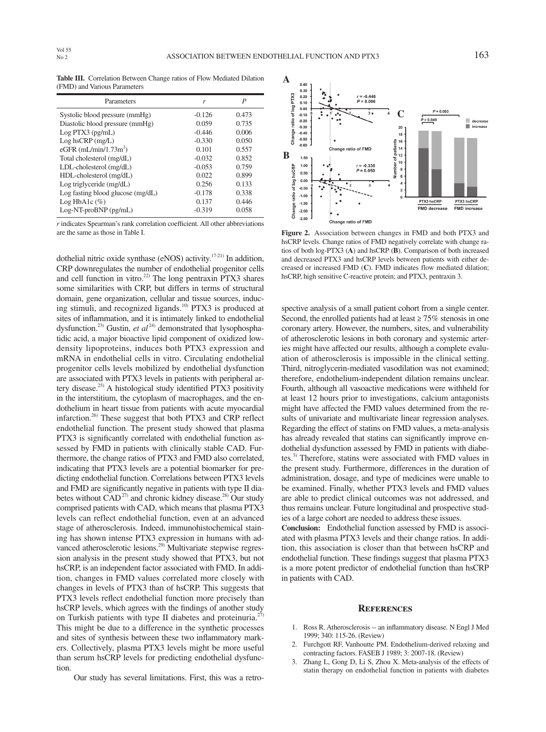**Table III.** Correlation Between Change ratios of Flow Mediated Dilation (FMD) and Various Parameters

| Parameters                        | r        | P     |
|-----------------------------------|----------|-------|
| Systolic blood pressure (mmHg)    | $-0.126$ | 0.473 |
| Diastolic blood pressure (mmHg)   | 0.059    | 0.735 |
| Log PTX3 (pg/mL)                  | $-0.446$ | 0.006 |
| $Log hscRP$ (mg/L)                | $-0.330$ | 0.050 |
| eGFR $(mL/min/1.73m^2)$           | 0.101    | 0.557 |
| Total cholesterol (mg/dL)         | $-0.032$ | 0.852 |
| $LDL$ -cholesterol $(mg/dL)$      | $-0.053$ | 0.759 |
| HDL-cholesterol (mg/dL)           | 0.022    | 0.899 |
| Log triglyceride (mg/dL)          | 0.256    | 0.133 |
| Log fasting blood glucose (mg/dL) | $-0.178$ | 0.338 |
| Log HbAlc $(\%)$                  | 0.137    | 0.446 |
| Log-NT-proBNP (pg/mL)             | $-0.319$ | 0.058 |

*r* indicates Spearman's rank correlation coefficient. All other abbreviations are the same as those in Table I.

dothelial nitric oxide synthase (eNOS) activity.<sup>17-21)</sup> In addition, CRP downregulates the number of endothelial progenitor cells and cell function in vitro.<sup>22)</sup> The long pentraxin PTX3 shares some similarities with CRP, but differs in terms of structural domain, gene organization, cellular and tissue sources, inducing stimuli, and recognized ligands.<sup>10)</sup> PTX3 is produced at sites of inflammation, and it is intimately linked to endothelial dysfunction.<sup>23)</sup> Gustin, *et al*<sup>24)</sup> demonstrated that lysophosphatidic acid, a major bioactive lipid component of oxidized lowdensity lipoproteins, induces both PTX3 expression and mRNA in endothelial cells in vitro. Circulating endothelial progenitor cells levels mobilized by endothelial dysfunction are associated with PTX3 levels in patients with peripheral artery disease. $^{25)}$  A histological study identified PTX3 positivity in the interstitium, the cytoplasm of macrophages, and the endothelium in heart tissue from patients with acute myocardial infarction.<sup>26)</sup> These suggest that both PTX3 and CRP reflect endothelial function. The present study showed that plasma PTX3 is significantly correlated with endothelial function assessed by FMD in patients with clinically stable CAD. Furthermore, the change ratios of PTX3 and FMD also correlated, indicating that PTX3 levels are a potential biomarker for predicting endothelial function. Correlations between PTX3 levels and FMD are significantly negative in patients with type II diabetes without  $CAD^{27}$  and chronic kidney disease.<sup>28)</sup> Our study comprised patients with CAD, which means that plasma PTX3 levels can reflect endothelial function, even at an advanced stage of atherosclerosis. Indeed, immunohistochemical staining has shown intense PTX3 expression in humans with advanced atherosclerotic lesions.<sup>29)</sup> Multivariate stepwise regression analysis in the present study showed that PTX3, but not hsCRP, is an independent factor associated with FMD. In addition, changes in FMD values correlated more closely with changes in levels of PTX3 than of hsCRP. This suggests that PTX3 levels reflect endothelial function more precisely than hsCRP levels, which agrees with the findings of another study on Turkish patients with type II diabetes and proteinuria.<sup>27)</sup> This might be due to a difference in the synthetic processes and sites of synthesis between these two inflammatory markers. Collectively, plasma PTX3 levels might be more useful than serum hsCRP levels for predicting endothelial dysfunction.

Our study has several limitations. First, this was a retro-



**Figure 2.** Association between changes in FMD and both PTX3 and hsCRP levels. Change ratios of FMD negatively correlate with change ratios of both log-PTX3 (**A**) and hsCRP (**B**). Comparison of both increased and decreased PTX3 and hsCRP levels between patients with either decreased or increased FMD (**C**). FMD indicates flow mediated dilation; hsCRP, high sensitive C-reactive protein; and PTX3, pentraxin 3.

spective analysis of a small patient cohort from a single center. Second, the enrolled patients had at least  $\geq 75\%$  stenosis in one coronary artery. However, the numbers, sites, and vulnerability of atherosclerotic lesions in both coronary and systemic arteries might have affected our results, although a complete evaluation of atherosclerosis is impossible in the clinical setting. Third, nitroglycerin-mediated vasodilation was not examined; therefore, endothelium-independent dilation remains unclear. Fourth, although all vasoactive medications were withheld for at least 12 hours prior to investigations, calcium antagonists might have affected the FMD values determined from the results of univariate and multivariate linear regression analyses. Regarding the effect of statins on FMD values, a meta-analysis has already revealed that statins can significantly improve endothelial dysfunction assessed by FMD in patients with diabetes.<sup>3)</sup> Therefore, statins were associated with FMD values in the present study. Furthermore, differences in the duration of administration, dosage, and type of medicines were unable to be examined. Finally, whether PTX3 levels and FMD values are able to predict clinical outcomes was not addressed, and thus remains unclear. Future longitudinal and prospective studies of a large cohort are needed to address these issues.

**Conclusion:** Endothelial function assessed by FMD is associated with plasma PTX3 levels and their change ratios. In addition, this association is closer than that between hsCRP and endothelial function. These findings suggest that plasma PTX3 is a more potent predictor of endothelial function than hsCRP in patients with CAD.

#### **References**

- 1. Ross R. Atherosclerosis -- an inflammatory disease. N Engl J Med 1999; 340: 115-26. (Review)
- 2. Furchgott RF, Vanhoutte PM. Endothelium-derived relaxing and contracting factors. FASEB J 1989; 3: 2007-18. (Review)
- 3. Zhang L, Gong D, Li S, Zhou X. Meta-analysis of the effects of statin therapy on endothelial function in patients with diabetes